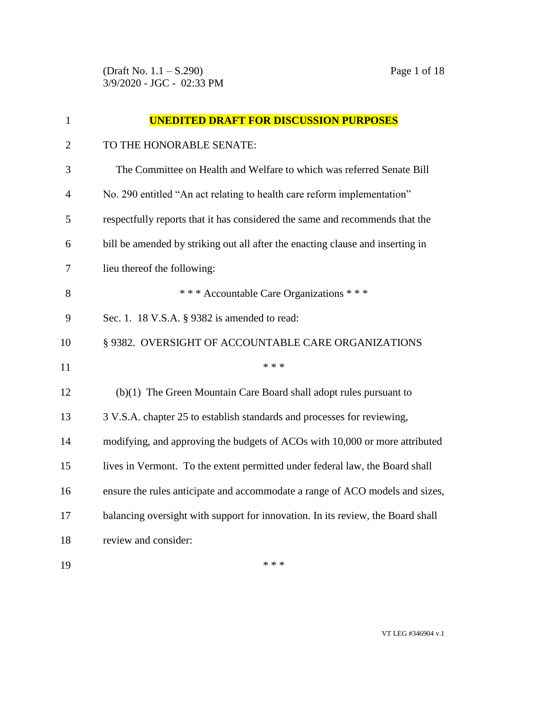(Draft No. 1.1 – S.290) Page 1 of 18 3/9/2020 - JGC - 02:33 PM

| $\mathbf{1}$   | <b>UNEDITED DRAFT FOR DISCUSSION PURPOSES</b>                                   |
|----------------|---------------------------------------------------------------------------------|
| $\overline{2}$ | TO THE HONORABLE SENATE:                                                        |
| 3              | The Committee on Health and Welfare to which was referred Senate Bill           |
| 4              | No. 290 entitled "An act relating to health care reform implementation"         |
| 5              | respectfully reports that it has considered the same and recommends that the    |
| 6              | bill be amended by striking out all after the enacting clause and inserting in  |
| 7              | lieu thereof the following:                                                     |
| 8              | *** Accountable Care Organizations ***                                          |
| 9              | Sec. 1. 18 V.S.A. § 9382 is amended to read:                                    |
| 10             | § 9382. OVERSIGHT OF ACCOUNTABLE CARE ORGANIZATIONS                             |
| 11             | * * *                                                                           |
| 12             | $(b)(1)$ The Green Mountain Care Board shall adopt rules pursuant to            |
| 13             | 3 V.S.A. chapter 25 to establish standards and processes for reviewing,         |
| 14             | modifying, and approving the budgets of ACOs with 10,000 or more attributed     |
| 15             | lives in Vermont. To the extent permitted under federal law, the Board shall    |
| 16             | ensure the rules anticipate and accommodate a range of ACO models and sizes,    |
| 17             | balancing oversight with support for innovation. In its review, the Board shall |
| 18             | review and consider:                                                            |
| 19             | * * *                                                                           |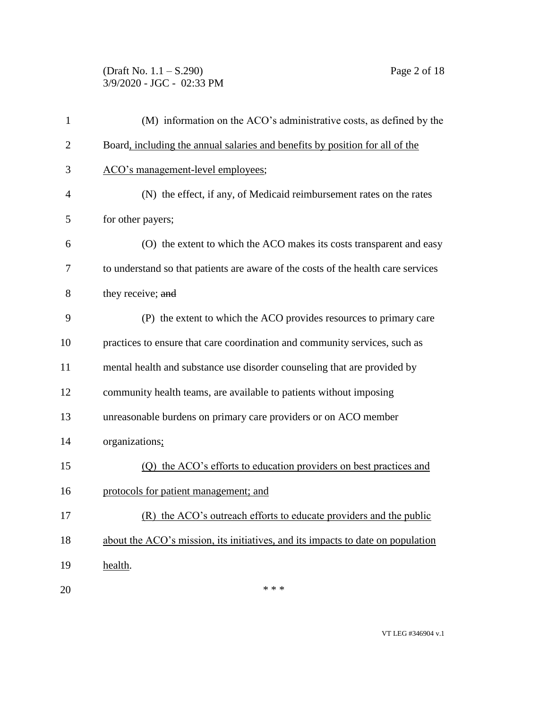(Draft No. 1.1 – S.290) Page 2 of 18 3/9/2020 - JGC - 02:33 PM

| $\mathbf{1}$ | (M) information on the ACO's administrative costs, as defined by the              |
|--------------|-----------------------------------------------------------------------------------|
| 2            | Board, including the annual salaries and benefits by position for all of the      |
| 3            | ACO's management-level employees;                                                 |
| 4            | (N) the effect, if any, of Medicaid reimbursement rates on the rates              |
| 5            | for other payers;                                                                 |
| 6            | (O) the extent to which the ACO makes its costs transparent and easy              |
| 7            | to understand so that patients are aware of the costs of the health care services |
| 8            | they receive; and                                                                 |
| 9            | (P) the extent to which the ACO provides resources to primary care                |
| 10           | practices to ensure that care coordination and community services, such as        |
| 11           | mental health and substance use disorder counseling that are provided by          |
| 12           | community health teams, are available to patients without imposing                |
| 13           | unreasonable burdens on primary care providers or on ACO member                   |
| 14           | organizations;                                                                    |
| 15           | (Q) the ACO's efforts to education providers on best practices and                |
| 16           | protocols for patient management; and                                             |
| 17           | (R) the ACO's outreach efforts to educate providers and the public                |
| 18           | about the ACO's mission, its initiatives, and its impacts to date on population   |
| 19           | health.                                                                           |
| 20           | * * *                                                                             |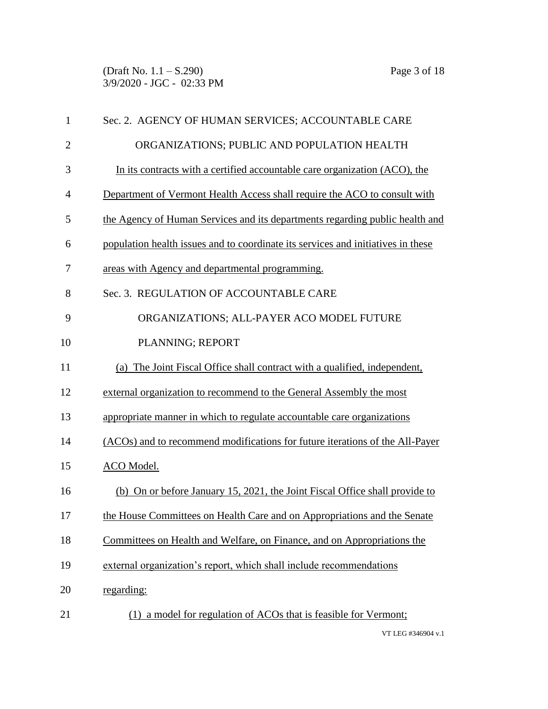(Draft No. 1.1 – S.290) Page 3 of 18 3/9/2020 - JGC - 02:33 PM

| 1              | Sec. 2. AGENCY OF HUMAN SERVICES; ACCOUNTABLE CARE                               |
|----------------|----------------------------------------------------------------------------------|
| $\overline{2}$ | ORGANIZATIONS; PUBLIC AND POPULATION HEALTH                                      |
| 3              | In its contracts with a certified accountable care organization (ACO), the       |
| $\overline{4}$ | Department of Vermont Health Access shall require the ACO to consult with        |
| 5              | the Agency of Human Services and its departments regarding public health and     |
| 6              | population health issues and to coordinate its services and initiatives in these |
| 7              | areas with Agency and departmental programming.                                  |
| 8              | Sec. 3. REGULATION OF ACCOUNTABLE CARE                                           |
| 9              | ORGANIZATIONS; ALL-PAYER ACO MODEL FUTURE                                        |
| 10             | PLANNING; REPORT                                                                 |
| 11             | (a) The Joint Fiscal Office shall contract with a qualified, independent,        |
| 12             | external organization to recommend to the General Assembly the most              |
| 13             | appropriate manner in which to regulate accountable care organizations           |
| 14             | (ACOs) and to recommend modifications for future iterations of the All-Payer     |
| 15             | ACO Model.                                                                       |
| 16             | (b) On or before January 15, 2021, the Joint Fiscal Office shall provide to      |
| 17             | the House Committees on Health Care and on Appropriations and the Senate         |
| 18             | Committees on Health and Welfare, on Finance, and on Appropriations the          |
| 19             | external organization's report, which shall include recommendations              |
| 20             | regarding:                                                                       |
| 21             | (1) a model for regulation of ACOs that is feasible for Vermont;                 |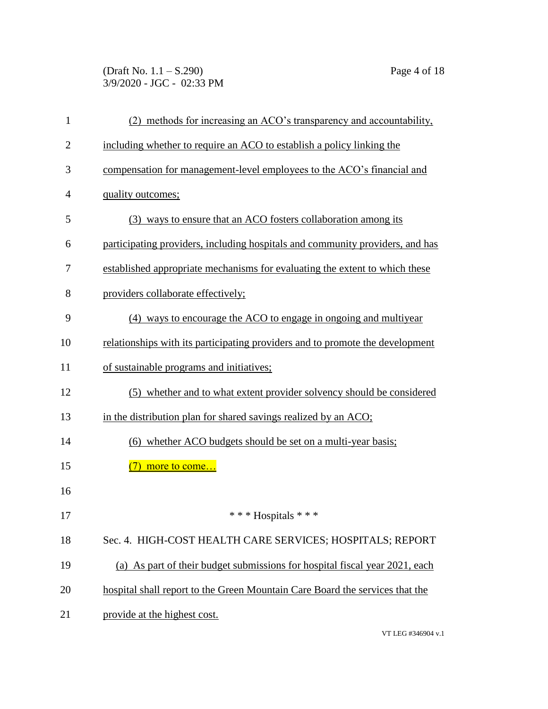(Draft No. 1.1 – S.290) Page 4 of 18 3/9/2020 - JGC - 02:33 PM

| 1              | (2) methods for increasing an ACO's transparency and accountability,          |
|----------------|-------------------------------------------------------------------------------|
| $\overline{2}$ | including whether to require an ACO to establish a policy linking the         |
| 3              | compensation for management-level employees to the ACO's financial and        |
| 4              | quality outcomes;                                                             |
| 5              | (3) ways to ensure that an ACO fosters collaboration among its                |
| 6              | participating providers, including hospitals and community providers, and has |
| 7              | established appropriate mechanisms for evaluating the extent to which these   |
| 8              | providers collaborate effectively;                                            |
| 9              | (4) ways to encourage the ACO to engage in ongoing and multiyear              |
| 10             | relationships with its participating providers and to promote the development |
| 11             | of sustainable programs and initiatives;                                      |
| 12             | (5) whether and to what extent provider solvency should be considered         |
| 13             | in the distribution plan for shared savings realized by an ACO;               |
| 14             | (6) whether ACO budgets should be set on a multi-year basis;                  |
| 15             | more to come                                                                  |
| 16             |                                                                               |
| 17             | *** Hospitals ***                                                             |
| 18             | Sec. 4. HIGH-COST HEALTH CARE SERVICES; HOSPITALS; REPORT                     |
| 19             | (a) As part of their budget submissions for hospital fiscal year 2021, each   |
| 20             | hospital shall report to the Green Mountain Care Board the services that the  |
| 21             | provide at the highest cost.                                                  |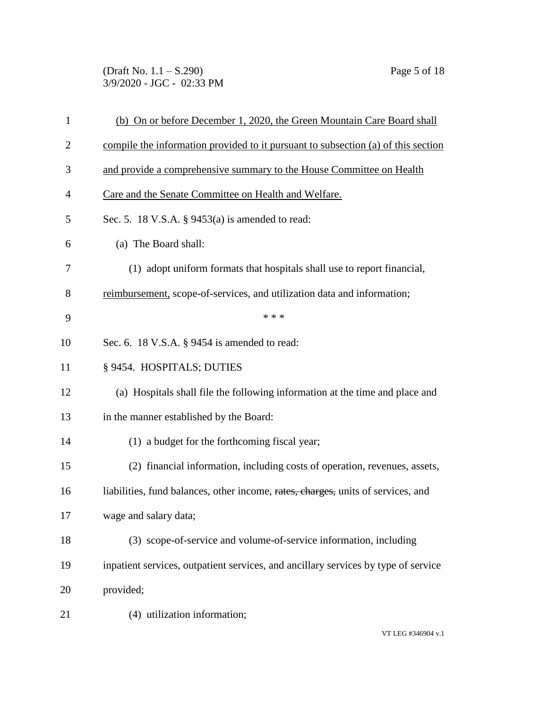(Draft No. 1.1 – S.290) Page 5 of 18 3/9/2020 - JGC - 02:33 PM

| $\mathbf{1}$   | (b) On or before December 1, 2020, the Green Mountain Care Board shall             |
|----------------|------------------------------------------------------------------------------------|
| $\overline{2}$ | compile the information provided to it pursuant to subsection (a) of this section  |
| 3              | and provide a comprehensive summary to the House Committee on Health               |
| 4              | Care and the Senate Committee on Health and Welfare.                               |
| 5              | Sec. 5. 18 V.S.A. $\S$ 9453(a) is amended to read:                                 |
| 6              | (a) The Board shall:                                                               |
| 7              | (1) adopt uniform formats that hospitals shall use to report financial,            |
| 8              | reimbursement, scope-of-services, and utilization data and information;            |
| 9              | * * *                                                                              |
| 10             | Sec. 6. 18 V.S.A. § 9454 is amended to read:                                       |
| 11             | § 9454. HOSPITALS; DUTIES                                                          |
| 12             | (a) Hospitals shall file the following information at the time and place and       |
| 13             | in the manner established by the Board:                                            |
| 14             | (1) a budget for the forthcoming fiscal year;                                      |
| 15             | (2) financial information, including costs of operation, revenues, assets,         |
| 16             | liabilities, fund balances, other income, rates, charges, units of services, and   |
| 17             | wage and salary data;                                                              |
| 18             | (3) scope-of-service and volume-of-service information, including                  |
| 19             | inpatient services, outpatient services, and ancillary services by type of service |
| 20             | provided;                                                                          |
| 21             | (4) utilization information;                                                       |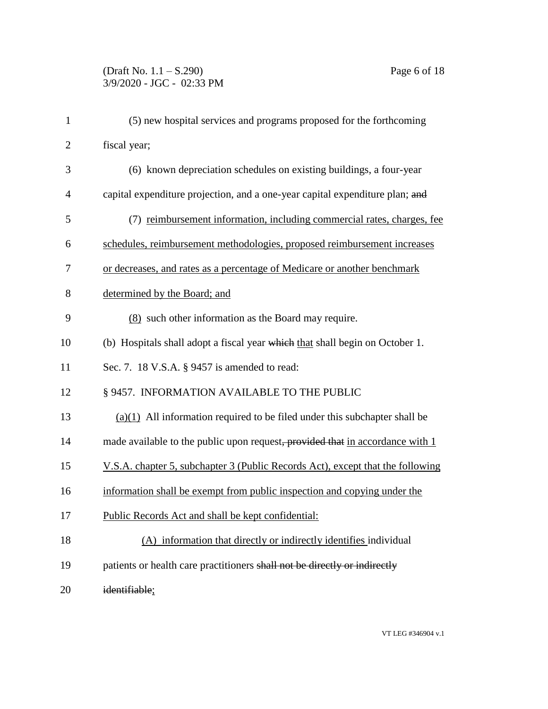| $\mathbf{1}$   | (5) new hospital services and programs proposed for the forthcoming            |
|----------------|--------------------------------------------------------------------------------|
| $\overline{2}$ | fiscal year;                                                                   |
| 3              | (6) known depreciation schedules on existing buildings, a four-year            |
| $\overline{4}$ | capital expenditure projection, and a one-year capital expenditure plan; and   |
| 5              | (7) reimbursement information, including commercial rates, charges, fee        |
| 6              | schedules, reimbursement methodologies, proposed reimbursement increases       |
| 7              | or decreases, and rates as a percentage of Medicare or another benchmark       |
| 8              | determined by the Board; and                                                   |
| 9              | (8) such other information as the Board may require.                           |
| 10             | (b) Hospitals shall adopt a fiscal year which that shall begin on October 1.   |
| 11             | Sec. 7. 18 V.S.A. § 9457 is amended to read:                                   |
| 12             | § 9457. INFORMATION AVAILABLE TO THE PUBLIC                                    |
| 13             | $(a)(1)$ All information required to be filed under this subchapter shall be   |
| 14             | made available to the public upon request, provided that in accordance with 1  |
| 15             | V.S.A. chapter 5, subchapter 3 (Public Records Act), except that the following |
| 16             | information shall be exempt from public inspection and copying under the       |
| 17             | Public Records Act and shall be kept confidential:                             |
| 18             | (A) information that directly or indirectly identifies individual              |
| 19             | patients or health care practitioners shall not be directly or indirectly      |
| 20             | identifiable;                                                                  |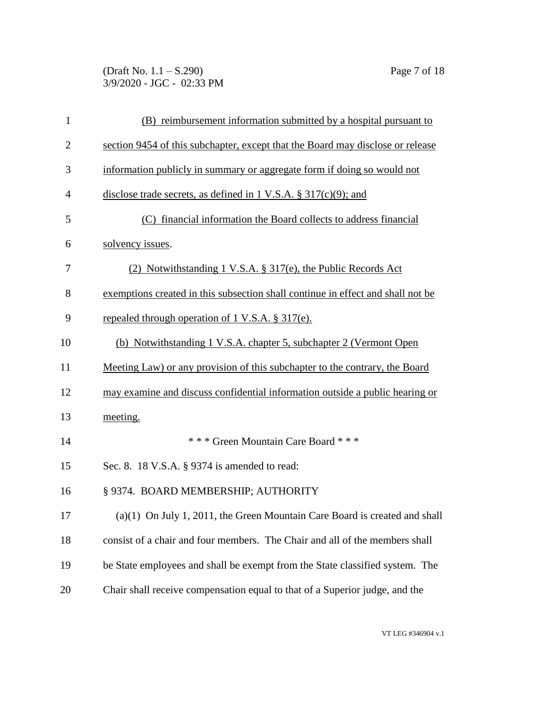(Draft No. 1.1 – S.290) Page 7 of 18 3/9/2020 - JGC - 02:33 PM

| $\mathbf{1}$   | (B) reimbursement information submitted by a hospital pursuant to               |
|----------------|---------------------------------------------------------------------------------|
| $\overline{2}$ | section 9454 of this subchapter, except that the Board may disclose or release  |
| 3              | information publicly in summary or aggregate form if doing so would not         |
| $\overline{4}$ | disclose trade secrets, as defined in 1 V.S.A. $\S 317(c)(9)$ ; and             |
| 5              | (C) financial information the Board collects to address financial               |
| 6              | solvency issues.                                                                |
| 7              | (2) Notwithstanding 1 V.S.A. § 317(e), the Public Records Act                   |
| 8              | exemptions created in this subsection shall continue in effect and shall not be |
| 9              | repealed through operation of 1 V.S.A. § 317(e).                                |
| 10             | (b) Notwithstanding 1 V.S.A. chapter 5, subchapter 2 (Vermont Open              |
| 11             | Meeting Law) or any provision of this subchapter to the contrary, the Board     |
| 12             | may examine and discuss confidential information outside a public hearing or    |
| 13             | meeting.                                                                        |
| 14             | *** Green Mountain Care Board ***                                               |
| 15             | Sec. 8. 18 V.S.A. § 9374 is amended to read:                                    |
| 16             | § 9374. BOARD MEMBERSHIP; AUTHORITY                                             |
| 17             | $(a)(1)$ On July 1, 2011, the Green Mountain Care Board is created and shall    |
| 18             | consist of a chair and four members. The Chair and all of the members shall     |
| 19             | be State employees and shall be exempt from the State classified system. The    |
| 20             | Chair shall receive compensation equal to that of a Superior judge, and the     |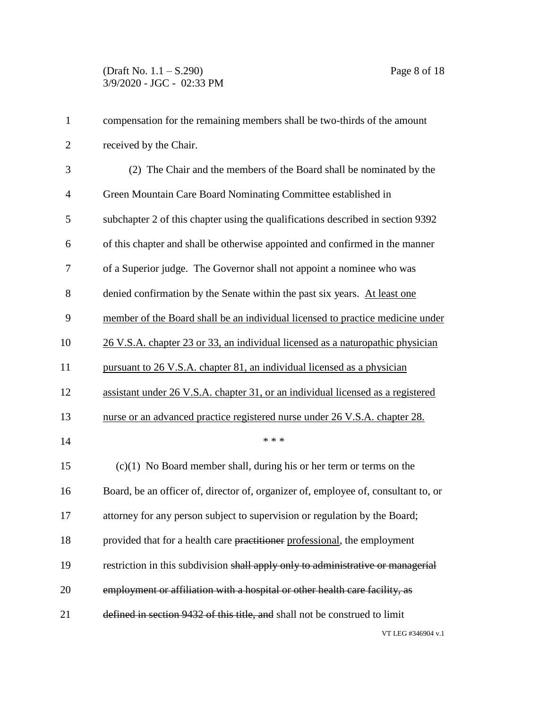| $\mathbf{1}$   | compensation for the remaining members shall be two-thirds of the amount           |
|----------------|------------------------------------------------------------------------------------|
| $\overline{2}$ | received by the Chair.                                                             |
| 3              | (2) The Chair and the members of the Board shall be nominated by the               |
| $\overline{4}$ | Green Mountain Care Board Nominating Committee established in                      |
| 5              | subchapter 2 of this chapter using the qualifications described in section 9392    |
| 6              | of this chapter and shall be otherwise appointed and confirmed in the manner       |
| 7              | of a Superior judge. The Governor shall not appoint a nominee who was              |
| $8\,$          | denied confirmation by the Senate within the past six years. At least one          |
| 9              | member of the Board shall be an individual licensed to practice medicine under     |
| 10             | 26 V.S.A. chapter 23 or 33, an individual licensed as a naturopathic physician     |
| 11             | pursuant to 26 V.S.A. chapter 81, an individual licensed as a physician            |
| 12             | assistant under 26 V.S.A. chapter 31, or an individual licensed as a registered    |
| 13             | nurse or an advanced practice registered nurse under 26 V.S.A. chapter 28.         |
| 14             | * * *                                                                              |
| 15             | $(c)(1)$ No Board member shall, during his or her term or terms on the             |
| 16             | Board, be an officer of, director of, organizer of, employee of, consultant to, or |
| 17             | attorney for any person subject to supervision or regulation by the Board;         |
| 18             | provided that for a health care practitioner professional, the employment          |
| 19             | restriction in this subdivision shall apply only to administrative or managerial   |
| 20             | employment or affiliation with a hospital or other health care facility, as        |
| 21             | defined in section 9432 of this title, and shall not be construed to limit         |
|                | VT LEG #346904 v.1                                                                 |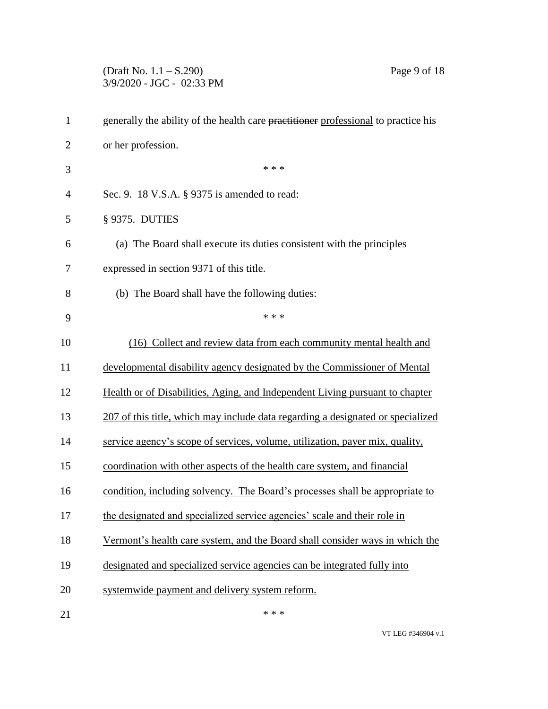(Draft No. 1.1 – S.290) Page 9 of 18 3/9/2020 - JGC - 02:33 PM

| $\mathbf{1}$   | generally the ability of the health care practitioner professional to practice his |
|----------------|------------------------------------------------------------------------------------|
| $\overline{2}$ | or her profession.                                                                 |
| 3              | * * *                                                                              |
| $\overline{4}$ | Sec. 9. 18 V.S.A. § 9375 is amended to read:                                       |
| 5              | § 9375. DUTIES                                                                     |
| 6              | (a) The Board shall execute its duties consistent with the principles              |
| 7              | expressed in section 9371 of this title.                                           |
| 8              | (b) The Board shall have the following duties:                                     |
| 9              | * * *                                                                              |
| 10             | (16) Collect and review data from each community mental health and                 |
| 11             | developmental disability agency designated by the Commissioner of Mental           |
| 12             | Health or of Disabilities, Aging, and Independent Living pursuant to chapter       |
| 13             | 207 of this title, which may include data regarding a designated or specialized    |
| 14             | service agency's scope of services, volume, utilization, payer mix, quality,       |
| 15             | coordination with other aspects of the health care system, and financial           |
| 16             | condition, including solvency. The Board's processes shall be appropriate to       |
| 17             | the designated and specialized service agencies' scale and their role in           |
| 18             | Vermont's health care system, and the Board shall consider ways in which the       |
| 19             | designated and specialized service agencies can be integrated fully into           |
| 20             | systemwide payment and delivery system reform.                                     |
| 21             | * * *                                                                              |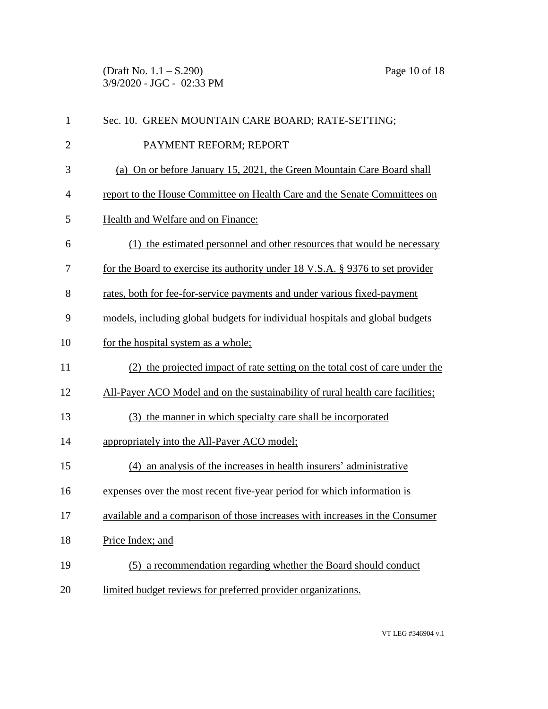(Draft No. 1.1 – S.290) Page 10 of 18 3/9/2020 - JGC - 02:33 PM

| $\mathbf{1}$ | Sec. 10. GREEN MOUNTAIN CARE BOARD; RATE-SETTING;                              |
|--------------|--------------------------------------------------------------------------------|
| $\mathbf{2}$ | PAYMENT REFORM; REPORT                                                         |
| 3            | (a) On or before January 15, 2021, the Green Mountain Care Board shall         |
| 4            | report to the House Committee on Health Care and the Senate Committees on      |
| 5            | Health and Welfare and on Finance:                                             |
| 6            | (1) the estimated personnel and other resources that would be necessary        |
| 7            | for the Board to exercise its authority under 18 V.S.A. § 9376 to set provider |
| 8            | rates, both for fee-for-service payments and under various fixed-payment       |
| 9            | models, including global budgets for individual hospitals and global budgets   |
| 10           | for the hospital system as a whole;                                            |
| 11           | (2) the projected impact of rate setting on the total cost of care under the   |
| 12           | All-Payer ACO Model and on the sustainability of rural health care facilities; |
| 13           | (3) the manner in which specialty care shall be incorporated                   |
| 14           | appropriately into the All-Payer ACO model;                                    |
| 15           | (4) an analysis of the increases in health insurers' administrative            |
| 16           | expenses over the most recent five-year period for which information is        |
| 17           | available and a comparison of those increases with increases in the Consumer   |
| 18           | Price Index; and                                                               |
| 19           | (5) a recommendation regarding whether the Board should conduct                |
| 20           | limited budget reviews for preferred provider organizations.                   |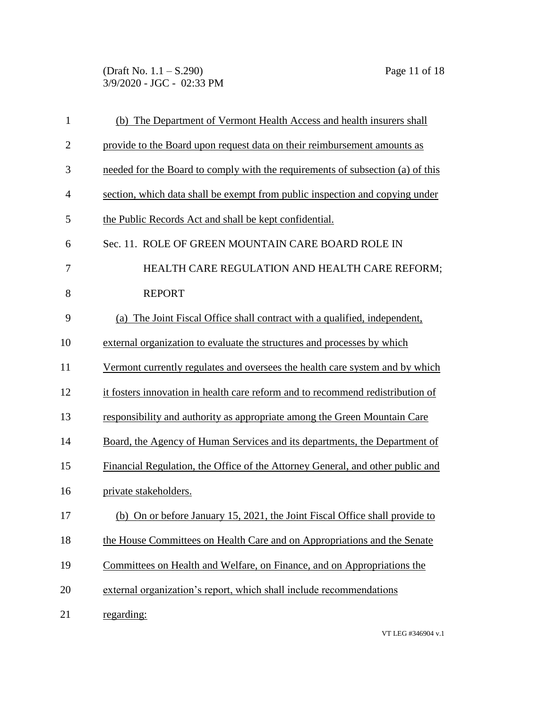(Draft No. 1.1 – S.290) Page 11 of 18 3/9/2020 - JGC - 02:33 PM

| 1              | (b) The Department of Vermont Health Access and health insurers shall          |
|----------------|--------------------------------------------------------------------------------|
| $\mathbf{2}$   | provide to the Board upon request data on their reimbursement amounts as       |
| 3              | needed for the Board to comply with the requirements of subsection (a) of this |
| $\overline{4}$ | section, which data shall be exempt from public inspection and copying under   |
| 5              | the Public Records Act and shall be kept confidential.                         |
| 6              | Sec. 11. ROLE OF GREEN MOUNTAIN CARE BOARD ROLE IN                             |
| 7              | HEALTH CARE REGULATION AND HEALTH CARE REFORM;                                 |
| 8              | <b>REPORT</b>                                                                  |
| 9              | (a) The Joint Fiscal Office shall contract with a qualified, independent,      |
| 10             | external organization to evaluate the structures and processes by which        |
| 11             | Vermont currently regulates and oversees the health care system and by which   |
| 12             | it fosters innovation in health care reform and to recommend redistribution of |
| 13             | responsibility and authority as appropriate among the Green Mountain Care      |
| 14             | Board, the Agency of Human Services and its departments, the Department of     |
| 15             | Financial Regulation, the Office of the Attorney General, and other public and |
| 16             | private stakeholders.                                                          |
| 17             | (b) On or before January 15, 2021, the Joint Fiscal Office shall provide to    |
| 18             | the House Committees on Health Care and on Appropriations and the Senate       |
| 19             | Committees on Health and Welfare, on Finance, and on Appropriations the        |
| 20             | external organization's report, which shall include recommendations            |
| 21             | regarding:                                                                     |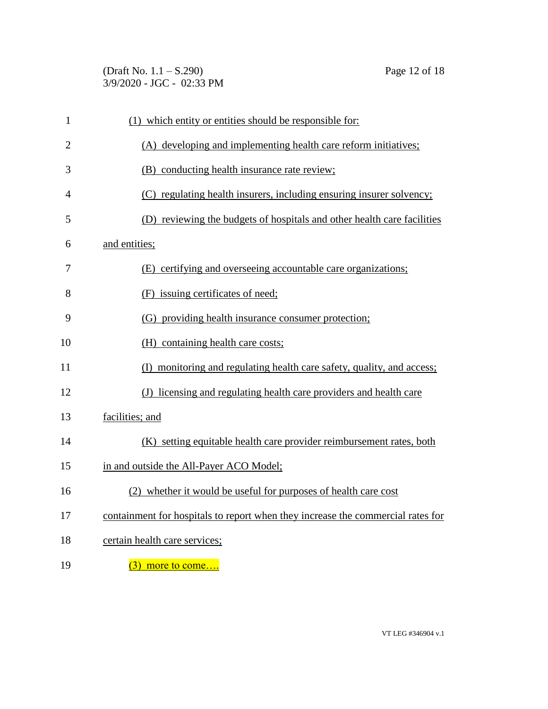(Draft No. 1.1 – S.290) Page 12 of 18 3/9/2020 - JGC - 02:33 PM

| 1              | (1) which entity or entities should be responsible for:                         |
|----------------|---------------------------------------------------------------------------------|
| $\overline{2}$ | (A) developing and implementing health care reform initiatives;                 |
| 3              | (B) conducting health insurance rate review;                                    |
| $\overline{4}$ | (C) regulating health insurers, including ensuring insurer solvency;            |
| 5              | (D) reviewing the budgets of hospitals and other health care facilities         |
| 6              | and entities;                                                                   |
| 7              | (E) certifying and overseeing accountable care organizations;                   |
| 8              | (F) issuing certificates of need;                                               |
| 9              | (G) providing health insurance consumer protection;                             |
| 10             | (H) containing health care costs;                                               |
| 11             | (I) monitoring and regulating health care safety, quality, and access;          |
| 12             | (J) licensing and regulating health care providers and health care              |
| 13             | facilities; and                                                                 |
| 14             | (K) setting equitable health care provider reimbursement rates, both            |
| 15             | in and outside the All-Payer ACO Model;                                         |
| 16             | (2) whether it would be useful for purposes of health care cost                 |
| 17             | containment for hospitals to report when they increase the commercial rates for |
| 18             | certain health care services;                                                   |
| 19             | $(3)$ more to come                                                              |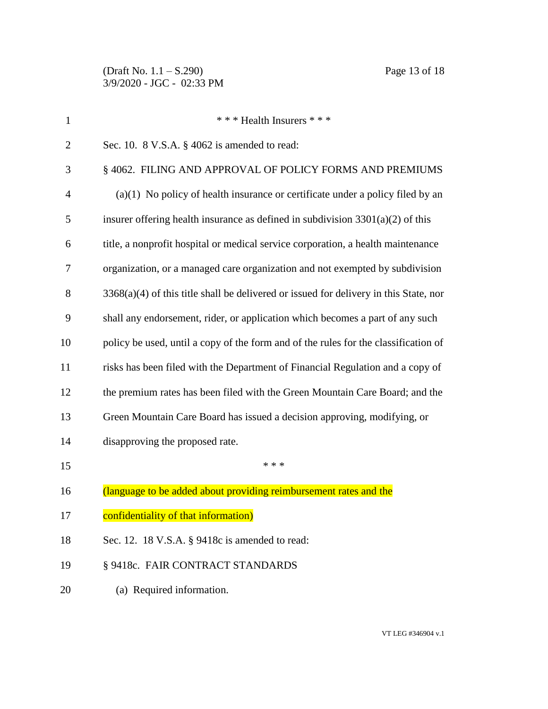| 1              | *** Health Insurers ***                                                                 |  |  |  |
|----------------|-----------------------------------------------------------------------------------------|--|--|--|
| $\overline{c}$ | Sec. 10. $8$ V.S.A. $\S$ 4062 is amended to read:                                       |  |  |  |
| 3              | § 4062. FILING AND APPROVAL OF POLICY FORMS AND PREMIUMS                                |  |  |  |
| 4              | $(a)(1)$ No policy of health insurance or certificate under a policy filed by an        |  |  |  |
| 5              | insurer offering health insurance as defined in subdivision $3301(a)(2)$ of this        |  |  |  |
| 6              | title, a nonprofit hospital or medical service corporation, a health maintenance        |  |  |  |
| 7              | organization, or a managed care organization and not exempted by subdivision            |  |  |  |
| 8              | $3368(a)(4)$ of this title shall be delivered or issued for delivery in this State, nor |  |  |  |
| 9              | shall any endorsement, rider, or application which becomes a part of any such           |  |  |  |
| 10             | policy be used, until a copy of the form and of the rules for the classification of     |  |  |  |
| 11             | risks has been filed with the Department of Financial Regulation and a copy of          |  |  |  |
| 12             | the premium rates has been filed with the Green Mountain Care Board; and the            |  |  |  |
| 13             | Green Mountain Care Board has issued a decision approving, modifying, or                |  |  |  |
| 14             | disapproving the proposed rate.                                                         |  |  |  |
| 15             | * * *                                                                                   |  |  |  |
| 16             | (language to be added about providing reimbursement rates and the                       |  |  |  |
| 17             | confidentiality of that information)                                                    |  |  |  |
| 18             | Sec. 12. 18 V.S.A. § 9418c is amended to read:                                          |  |  |  |
| 19             | § 9418c. FAIR CONTRACT STANDARDS                                                        |  |  |  |
| 20             | (a) Required information.                                                               |  |  |  |
|                |                                                                                         |  |  |  |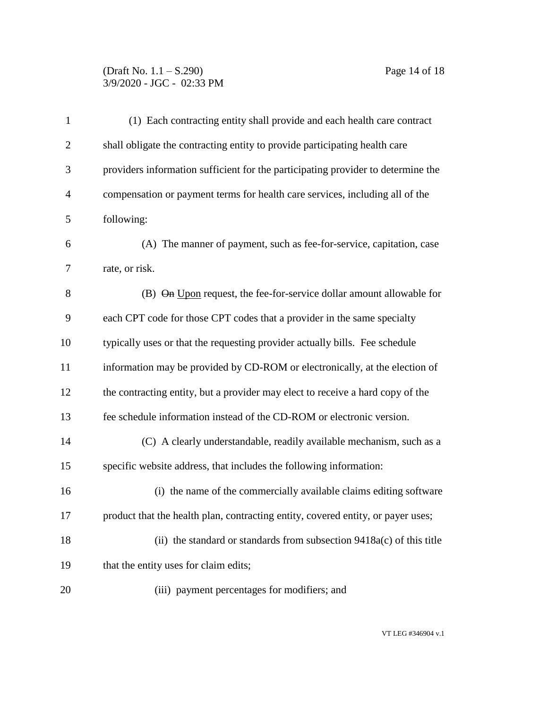## (Draft No. 1.1 – S.290) Page 14 of 18 3/9/2020 - JGC - 02:33 PM

| $\mathbf{1}$   | (1) Each contracting entity shall provide and each health care contract          |  |  |  |
|----------------|----------------------------------------------------------------------------------|--|--|--|
| $\overline{2}$ | shall obligate the contracting entity to provide participating health care       |  |  |  |
| 3              | providers information sufficient for the participating provider to determine the |  |  |  |
| 4              | compensation or payment terms for health care services, including all of the     |  |  |  |
| 5              | following:                                                                       |  |  |  |
| 6              | (A) The manner of payment, such as fee-for-service, capitation, case             |  |  |  |
| 7              | rate, or risk.                                                                   |  |  |  |
| 8              | (B) On Upon request, the fee-for-service dollar amount allowable for             |  |  |  |
| 9              | each CPT code for those CPT codes that a provider in the same specialty          |  |  |  |
| 10             | typically uses or that the requesting provider actually bills. Fee schedule      |  |  |  |
| 11             | information may be provided by CD-ROM or electronically, at the election of      |  |  |  |
| 12             | the contracting entity, but a provider may elect to receive a hard copy of the   |  |  |  |
| 13             | fee schedule information instead of the CD-ROM or electronic version.            |  |  |  |
| 14             | (C) A clearly understandable, readily available mechanism, such as a             |  |  |  |
| 15             | specific website address, that includes the following information:               |  |  |  |
| 16             | (i) the name of the commercially available claims editing software               |  |  |  |
| 17             | product that the health plan, contracting entity, covered entity, or payer uses; |  |  |  |
| 18             | (ii) the standard or standards from subsection $9418a(c)$ of this title          |  |  |  |
| 19             | that the entity uses for claim edits;                                            |  |  |  |
| 20             | (iii) payment percentages for modifiers; and                                     |  |  |  |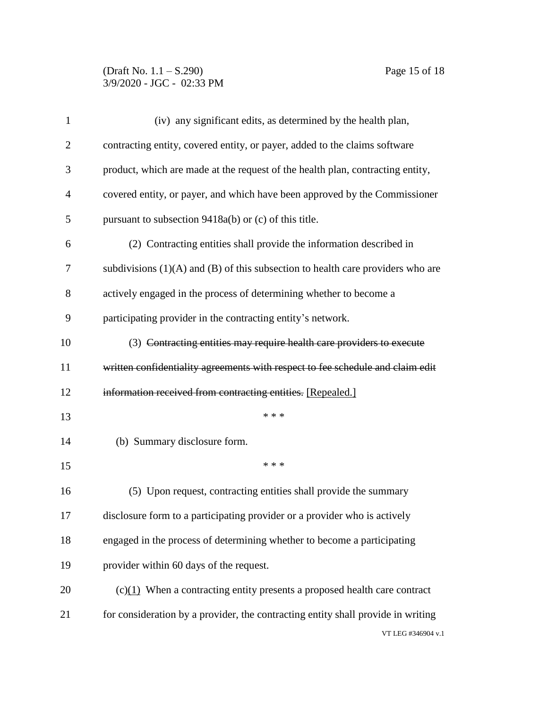## (Draft No. 1.1 – S.290) Page 15 of 18 3/9/2020 - JGC - 02:33 PM

| $\mathbf{1}$   | (iv) any significant edits, as determined by the health plan,                       |  |  |  |
|----------------|-------------------------------------------------------------------------------------|--|--|--|
| $\overline{c}$ | contracting entity, covered entity, or payer, added to the claims software          |  |  |  |
| 3              | product, which are made at the request of the health plan, contracting entity,      |  |  |  |
| 4              | covered entity, or payer, and which have been approved by the Commissioner          |  |  |  |
| 5              | pursuant to subsection $9418a(b)$ or (c) of this title.                             |  |  |  |
| 6              | (2) Contracting entities shall provide the information described in                 |  |  |  |
| 7              | subdivisions $(1)(A)$ and $(B)$ of this subsection to health care providers who are |  |  |  |
| 8              | actively engaged in the process of determining whether to become a                  |  |  |  |
| 9              | participating provider in the contracting entity's network.                         |  |  |  |
| 10             | (3) Contracting entities may require health care providers to execute               |  |  |  |
| 11             | written confidentiality agreements with respect to fee schedule and claim edit      |  |  |  |
| 12             | information received from contracting entities. [Repealed.]                         |  |  |  |
| 13             | * * *                                                                               |  |  |  |
| 14             | (b) Summary disclosure form.                                                        |  |  |  |
| 15             | * * *                                                                               |  |  |  |
| 16             | (5) Upon request, contracting entities shall provide the summary                    |  |  |  |
| 17             | disclosure form to a participating provider or a provider who is actively           |  |  |  |
| 18             | engaged in the process of determining whether to become a participating             |  |  |  |
| 19             | provider within 60 days of the request.                                             |  |  |  |
| 20             | $(c)(1)$ When a contracting entity presents a proposed health care contract         |  |  |  |
| 21             | for consideration by a provider, the contracting entity shall provide in writing    |  |  |  |
|                | VT LEG #346904 v.1                                                                  |  |  |  |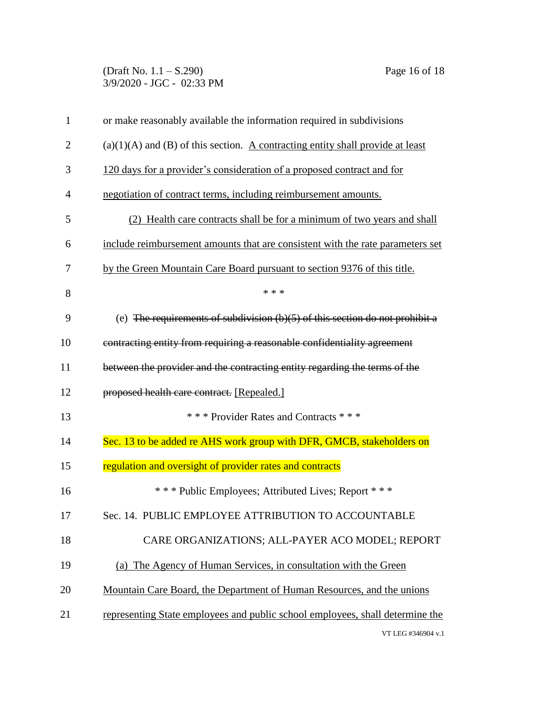(Draft No. 1.1 – S.290) Page 16 of 18 3/9/2020 - JGC - 02:33 PM

| $\mathbf{1}$   | or make reasonably available the information required in subdivisions              |  |  |
|----------------|------------------------------------------------------------------------------------|--|--|
| $\overline{2}$ | $(a)(1)(A)$ and $(B)$ of this section. A contracting entity shall provide at least |  |  |
| 3              | 120 days for a provider's consideration of a proposed contract and for             |  |  |
| $\overline{4}$ | negotiation of contract terms, including reimbursement amounts.                    |  |  |
| 5              | (2) Health care contracts shall be for a minimum of two years and shall            |  |  |
| 6              | include reimbursement amounts that are consistent with the rate parameters set     |  |  |
| 7              | by the Green Mountain Care Board pursuant to section 9376 of this title.           |  |  |
| 8              | * * *                                                                              |  |  |
| 9              | (e) The requirements of subdivision $(b)(5)$ of this section do not prohibit a     |  |  |
| 10             | contracting entity from requiring a reasonable confidentiality agreement           |  |  |
| 11             | between the provider and the contracting entity regarding the terms of the         |  |  |
| 12             | proposed health care contract. [Repealed.]                                         |  |  |
| 13             | *** Provider Rates and Contracts ***                                               |  |  |
| 14             | Sec. 13 to be added re AHS work group with DFR, GMCB, stakeholders on              |  |  |
| 15             | regulation and oversight of provider rates and contracts                           |  |  |
| 16             | *** Public Employees; Attributed Lives; Report ***                                 |  |  |
| 17             | Sec. 14. PUBLIC EMPLOYEE ATTRIBUTION TO ACCOUNTABLE                                |  |  |
| 18             | CARE ORGANIZATIONS; ALL-PAYER ACO MODEL; REPORT                                    |  |  |
| 19             | (a) The Agency of Human Services, in consultation with the Green                   |  |  |
| 20             | Mountain Care Board, the Department of Human Resources, and the unions             |  |  |
| 21             | representing State employees and public school employees, shall determine the      |  |  |
|                | VT LEG #346904 v.1                                                                 |  |  |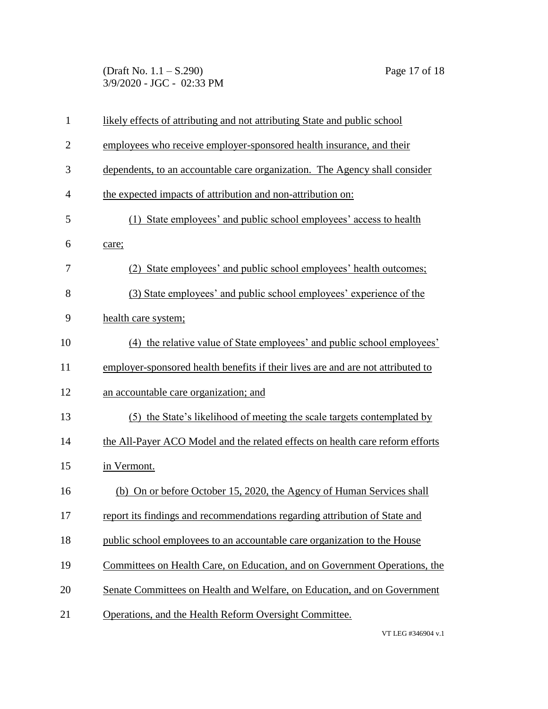(Draft No. 1.1 – S.290) Page 17 of 18 3/9/2020 - JGC - 02:33 PM

| $\mathbf{1}$   | likely effects of attributing and not attributing State and public school       |  |  |
|----------------|---------------------------------------------------------------------------------|--|--|
| $\overline{2}$ | employees who receive employer-sponsored health insurance, and their            |  |  |
| 3              | dependents, to an accountable care organization. The Agency shall consider      |  |  |
| $\overline{4}$ | the expected impacts of attribution and non-attribution on:                     |  |  |
| 5              | (1) State employees' and public school employees' access to health              |  |  |
| 6              | care;                                                                           |  |  |
| 7              | (2) State employees' and public school employees' health outcomes;              |  |  |
| 8              | (3) State employees' and public school employees' experience of the             |  |  |
| 9              | health care system;                                                             |  |  |
| 10             | (4) the relative value of State employees' and public school employees'         |  |  |
| 11             | employer-sponsored health benefits if their lives are and are not attributed to |  |  |
| 12             | an accountable care organization; and                                           |  |  |
| 13             | (5) the State's likelihood of meeting the scale targets contemplated by         |  |  |
| 14             | the All-Payer ACO Model and the related effects on health care reform efforts   |  |  |
| 15             | in Vermont.                                                                     |  |  |
| 16             | (b) On or before October 15, 2020, the Agency of Human Services shall           |  |  |
| 17             | report its findings and recommendations regarding attribution of State and      |  |  |
| 18             | public school employees to an accountable care organization to the House        |  |  |
| 19             | Committees on Health Care, on Education, and on Government Operations, the      |  |  |
| 20             | Senate Committees on Health and Welfare, on Education, and on Government        |  |  |
| 21             | Operations, and the Health Reform Oversight Committee.                          |  |  |
|                |                                                                                 |  |  |